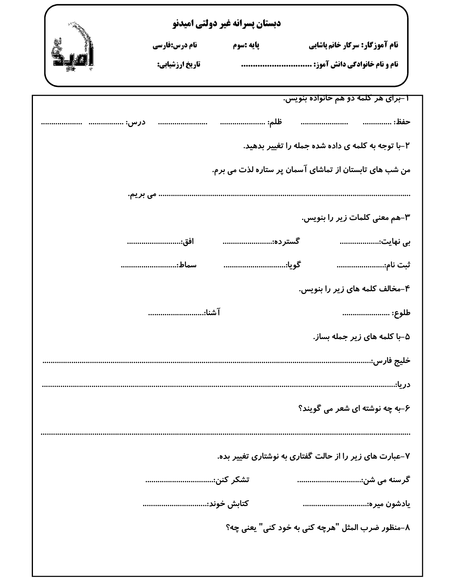|                      | دبستان پسرانه غیر دولتی امیدنو |                                                         |
|----------------------|--------------------------------|---------------------------------------------------------|
| <b>نام درس:فارسی</b> | پایه :سوم                      | نام آموزگار: سرکار خانم پاشایی                          |
| تاریخ ارزشیابی:      |                                | نام و نام خانوادگی دانش آموز:                           |
|                      |                                | <u>۱-برای هر کلمه دو هم خانواده بنویس.</u>              |
|                      |                                |                                                         |
|                      |                                |                                                         |
|                      |                                | ۲–با توجه به کلمه ی داده شده جمله را تغییر بدهید.       |
|                      |                                | من شب های تابستان از تماشای آسمان پر ستاره لذت می برم.  |
|                      |                                |                                                         |
|                      |                                | ۳–هم معنی کلمات زیر را بنویس.                           |
| افق:                 | گستر ده:                       | بی نهایت:                                               |
| سماط:                |                                | ثبت نام:                                                |
|                      |                                | ۴–مخالف کلمه های زیر را بنویس.                          |
| <b>آشنا:</b>         |                                | طلوع:                                                   |
|                      |                                | ۵–با کلمه های زیر جمله بساز.                            |
|                      |                                |                                                         |
|                      |                                |                                                         |
|                      |                                | ۶-به چه نوشته ای شعر می گویند؟                          |
|                      |                                |                                                         |
|                      |                                | ۷–عبارت های زیر را از حالت گفتاری به نوشتاری تغییر بده. |
|                      |                                | گرسنه می شن:                                            |
|                      |                                | یادشون میره:                                            |
|                      |                                | ٨-منظور ضرب المثل "هرچه کنی به خود کنی" یعنی چه؟        |
|                      |                                |                                                         |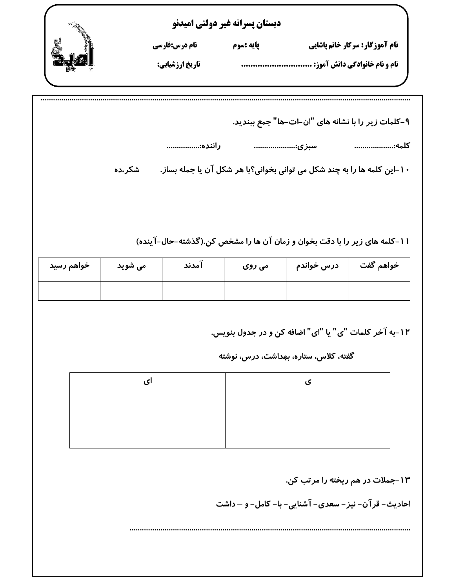|                 |                      | دبستان پسرانه غیر دولتی امیدنو         |       |                                                                         |  |
|-----------------|----------------------|----------------------------------------|-------|-------------------------------------------------------------------------|--|
|                 | <b>نام درس:فارسی</b> | يايه :سوم                              |       | نام آموزگار: سرکار خانم پاشایی                                          |  |
| تاريخ ارزشيابي: |                      | <b>نام و نام خانوادگی دانش آموز: .</b> |       |                                                                         |  |
|                 |                      |                                        |       | ۹–کلمات زیر را با نشانه های "ان–ات–ها" جمع ببندید.                      |  |
|                 | راننده:              |                                        | سېزى: | كلمه:.                                                                  |  |
| شكر،ده          |                      |                                        |       | ۱۰–این کلمه ها را به چند شکل می توانی بخوانی؟با هر شکل آن یا جمله بساز. |  |
|                 |                      |                                        |       |                                                                         |  |

۱۱–کلمه های زیر را با دقت بخوان و زمان آن ها را مشخص کن.(گذشته–حال–آینده)

| خواهم رسید | می شوید | امدند | می روی | درس خواندم | خواهم گفت |
|------------|---------|-------|--------|------------|-----------|
|            |         |       |        |            |           |

۱۲–به آخر کلمات "ی" یا "ای" اضافه کن و در جدول بنویس.

گفته، کلاس، ستاره، بهداشت، درس، نوشته

| ای | ی |
|----|---|
|    |   |
|    |   |
|    |   |

۱۳–جملات در هم ریخته را مرتب کن.

احادیث– قر آن– نیز – سعدی– آشنایی– با– کامل– و — داشت